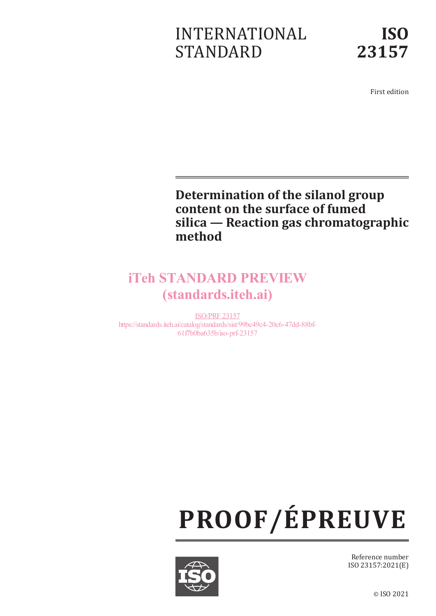# INTERNATIONAL STANDARD



First edition

# **Determination of the silanol group content on the surface of fumed silica — Reaction gas chromatographic method**

# iTeh STANDARD PREVIEW (standards.iteh.ai)

ISO/PRF 23157 https://standards.iteh.ai/catalog/standards/sist/99bc49c4-20c6-47dd-88bf-61f7b0ba635b/iso-prf-23157

# **PROOF/ÉPREUVE**



Reference number ISO 23157:2021(E)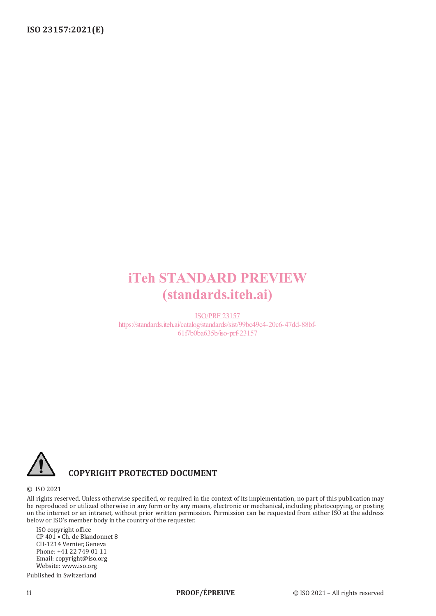# iTeh STANDARD PREVIEW (standards.iteh.ai)

ISO/PRF 23157 https://standards.iteh.ai/catalog/standards/sist/99bc49c4-20c6-47dd-88bf-61f7b0ba635b/iso-prf-23157



#### **COPYRIGHT PROTECTED DOCUMENT**

#### © ISO 2021

All rights reserved. Unless otherwise specified, or required in the context of its implementation, no part of this publication may be reproduced or utilized otherwise in any form or by any means, electronic or mechanical, including photocopying, or posting on the internet or an intranet, without prior written permission. Permission can be requested from either ISO at the address below or ISO's member body in the country of the requester.

ISO copyright office CP 401 • Ch. de Blandonnet 8 CH-1214 Vernier, Geneva Phone: +41 22 749 01 11 Email: copyright@iso.org Website: www.iso.org

Published in Switzerland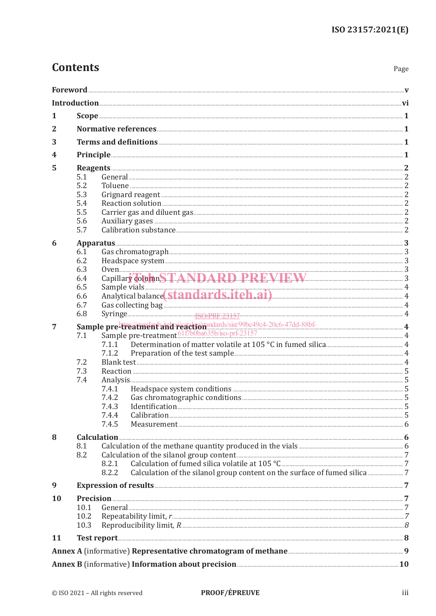| . .<br>×<br>×<br>۹<br>×<br>۰, |
|-------------------------------|
|-------------------------------|

| 1                                                    |                                                                                                                                                                                                                                                                   |                                                                        |  |  |  |  |   |             |  |  |  |
|------------------------------------------------------|-------------------------------------------------------------------------------------------------------------------------------------------------------------------------------------------------------------------------------------------------------------------|------------------------------------------------------------------------|--|--|--|--|---|-------------|--|--|--|
| 2                                                    |                                                                                                                                                                                                                                                                   |                                                                        |  |  |  |  |   |             |  |  |  |
| 3                                                    |                                                                                                                                                                                                                                                                   |                                                                        |  |  |  |  |   |             |  |  |  |
| 4                                                    |                                                                                                                                                                                                                                                                   |                                                                        |  |  |  |  |   |             |  |  |  |
| 5                                                    | Reagents <b>Example 2</b>                                                                                                                                                                                                                                         |                                                                        |  |  |  |  |   |             |  |  |  |
|                                                      | 5.1                                                                                                                                                                                                                                                               |                                                                        |  |  |  |  |   |             |  |  |  |
|                                                      | 5.2                                                                                                                                                                                                                                                               |                                                                        |  |  |  |  |   |             |  |  |  |
|                                                      | 5.3<br>5.4<br>5.5<br>5.6<br>5.7<br>Calibration substance 2000 and 2000 and 2000 and 2000 and 2000 and 2000 and 2000 and 2000 and 2000 and 2000 and 2000 and 2000 and 2000 and 2000 and 2000 and 2000 and 2000 and 2000 and 2000 and 2000 and 2000 and 2000 and 20 |                                                                        |  |  |  |  |   |             |  |  |  |
|                                                      |                                                                                                                                                                                                                                                                   |                                                                        |  |  |  |  |   |             |  |  |  |
|                                                      |                                                                                                                                                                                                                                                                   |                                                                        |  |  |  |  | 6 | Apparatus 3 |  |  |  |
| 6.1                                                  |                                                                                                                                                                                                                                                                   |                                                                        |  |  |  |  |   |             |  |  |  |
| 6.2                                                  |                                                                                                                                                                                                                                                                   |                                                                        |  |  |  |  |   |             |  |  |  |
| 6.3                                                  |                                                                                                                                                                                                                                                                   |                                                                        |  |  |  |  |   |             |  |  |  |
| 0ven 3<br>Capillary column STANDARD PREVIEW 3<br>6.4 |                                                                                                                                                                                                                                                                   |                                                                        |  |  |  |  |   |             |  |  |  |
| 6.5                                                  | Sample vials 44                                                                                                                                                                                                                                                   |                                                                        |  |  |  |  |   |             |  |  |  |
|                                                      | 6.6                                                                                                                                                                                                                                                               |                                                                        |  |  |  |  |   |             |  |  |  |
|                                                      | 6.7                                                                                                                                                                                                                                                               |                                                                        |  |  |  |  |   |             |  |  |  |
|                                                      | 6.8                                                                                                                                                                                                                                                               |                                                                        |  |  |  |  |   |             |  |  |  |
| 7                                                    | Sample pre <sup>1</sup> treatment and a each of mdards/sist/99bc49c4-20c6-47dd-88bf-<br>7.1 Sample pre-treatment 61f7b0ba635b/iso-prf-23157                                                                                                                       |                                                                        |  |  |  |  |   |             |  |  |  |
|                                                      |                                                                                                                                                                                                                                                                   |                                                                        |  |  |  |  |   |             |  |  |  |
|                                                      |                                                                                                                                                                                                                                                                   | 7.1.1                                                                  |  |  |  |  |   |             |  |  |  |
|                                                      | 7.2                                                                                                                                                                                                                                                               | 7.1.2                                                                  |  |  |  |  |   |             |  |  |  |
|                                                      | 7.3                                                                                                                                                                                                                                                               |                                                                        |  |  |  |  |   |             |  |  |  |
|                                                      | 7.4                                                                                                                                                                                                                                                               |                                                                        |  |  |  |  |   |             |  |  |  |
|                                                      |                                                                                                                                                                                                                                                                   | Headspace system conditions <b>CONSCRUTE AND TELECTION</b> 5<br>7.4.1  |  |  |  |  |   |             |  |  |  |
|                                                      |                                                                                                                                                                                                                                                                   | 7.4.2                                                                  |  |  |  |  |   |             |  |  |  |
|                                                      |                                                                                                                                                                                                                                                                   | 7.4.3                                                                  |  |  |  |  |   |             |  |  |  |
|                                                      |                                                                                                                                                                                                                                                                   |                                                                        |  |  |  |  |   |             |  |  |  |
|                                                      |                                                                                                                                                                                                                                                                   | 7.4.5                                                                  |  |  |  |  |   |             |  |  |  |
| 8                                                    |                                                                                                                                                                                                                                                                   |                                                                        |  |  |  |  |   |             |  |  |  |
|                                                      | 8.1                                                                                                                                                                                                                                                               |                                                                        |  |  |  |  |   |             |  |  |  |
|                                                      | 8.2                                                                                                                                                                                                                                                               |                                                                        |  |  |  |  |   |             |  |  |  |
|                                                      |                                                                                                                                                                                                                                                                   | 8.2.1                                                                  |  |  |  |  |   |             |  |  |  |
|                                                      |                                                                                                                                                                                                                                                                   | 8.2.2                                                                  |  |  |  |  |   |             |  |  |  |
| 9                                                    |                                                                                                                                                                                                                                                                   |                                                                        |  |  |  |  |   |             |  |  |  |
| 10                                                   | 10.1                                                                                                                                                                                                                                                              |                                                                        |  |  |  |  |   |             |  |  |  |
|                                                      |                                                                                                                                                                                                                                                                   |                                                                        |  |  |  |  |   |             |  |  |  |
|                                                      | 10.2                                                                                                                                                                                                                                                              |                                                                        |  |  |  |  |   |             |  |  |  |
|                                                      | 10.3                                                                                                                                                                                                                                                              |                                                                        |  |  |  |  |   |             |  |  |  |
| 11                                                   |                                                                                                                                                                                                                                                                   |                                                                        |  |  |  |  |   |             |  |  |  |
|                                                      |                                                                                                                                                                                                                                                                   |                                                                        |  |  |  |  |   |             |  |  |  |
|                                                      |                                                                                                                                                                                                                                                                   | Annex B (informative) Information about precision <b>Example 20</b> 10 |  |  |  |  |   |             |  |  |  |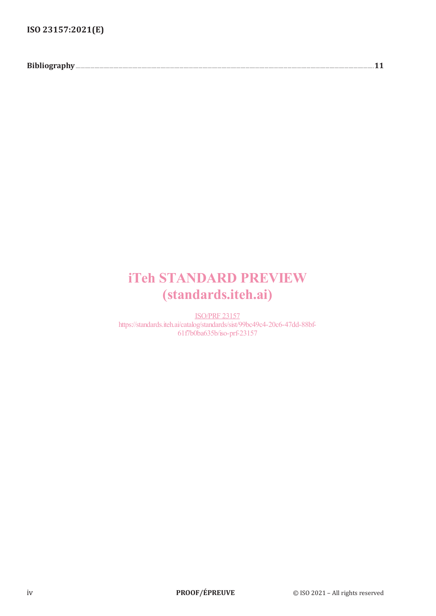**Bibliography**.............................................................................................................................................................................................................................**11**

# iTeh STANDARD PREVIEW (standards.iteh.ai)

ISO/PRF 23157 https://standards.iteh.ai/catalog/standards/sist/99bc49c4-20c6-47dd-88bf-61f7b0ba635b/iso-prf-23157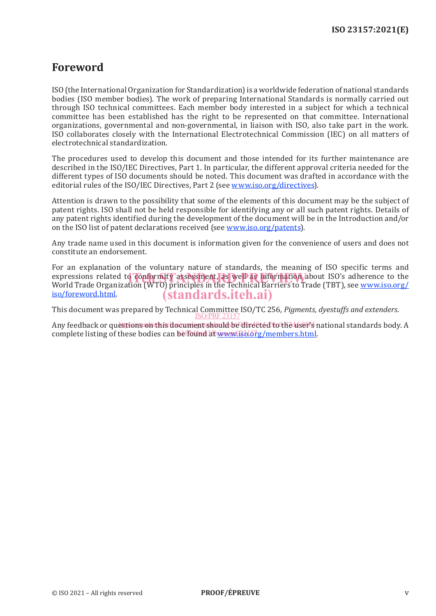## **Foreword**

ISO (the International Organization for Standardization) is a worldwide federation of national standards bodies (ISO member bodies). The work of preparing International Standards is normally carried out through ISO technical committees. Each member body interested in a subject for which a technical committee has been established has the right to be represented on that committee. International organizations, governmental and non-governmental, in liaison with ISO, also take part in the work. ISO collaborates closely with the International Electrotechnical Commission (IEC) on all matters of electrotechnical standardization.

The procedures used to develop this document and those intended for its further maintenance are described in the ISO/IEC Directives, Part 1. In particular, the different approval criteria needed for the different types of ISO documents should be noted. This document was drafted in accordance with the editorial rules of the ISO/IEC Directives, Part 2 (see www.iso.org/directives).

Attention is drawn to the possibility that some of the elements of this document may be the subject of patent rights. ISO shall not be held responsible for identifying any or all such patent rights. Details of any patent rights identified during the development of the document will be in the Introduction and/or on the ISO list of patent declarations received (see www.iso.org/patents).

Any trade name used in this document is information given for the convenience of users and does not constitute an endorsement.

For an explanation of the voluntary nature of standards, the meaning of ISO specific terms and expressions related to conformity assessment, as well as information about ISO's adherence to the experience or<br>World Trade Organization (WTO) principles in the Technical Barriers to Trade (TBT), see www.iso.org/ World Trade Organization (WTO) principles in the Technical Barriers to Trade (TBT), see www.iso.org/ iso/foreword.html. (standards.iteh.ai)

This document was prepared by Technical Committee ISO/TC 256, *Pigments, dyestuffs and extenders*. ISO/PRF 23157

Any feedback or questions on this document should be directed to the user's national standards body. A complete listing of these bodies can be found at www.iso.org/members.html.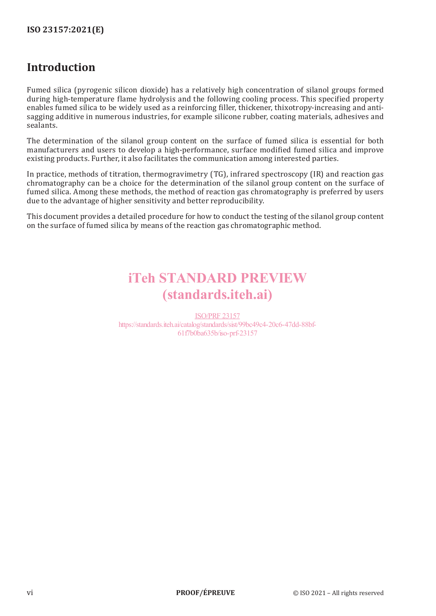## **Introduction**

Fumed silica (pyrogenic silicon dioxide) has a relatively high concentration of silanol groups formed during high-temperature flame hydrolysis and the following cooling process. This specified property enables fumed silica to be widely used as a reinforcing filler, thickener, thixotropy-increasing and antisagging additive in numerous industries, for example silicone rubber, coating materials, adhesives and sealants.

The determination of the silanol group content on the surface of fumed silica is essential for both manufacturers and users to develop a high-performance, surface modified fumed silica and improve existing products. Further, it also facilitates the communication among interested parties.

In practice, methods of titration, thermogravimetry (TG), infrared spectroscopy (IR) and reaction gas chromatography can be a choice for the determination of the silanol group content on the surface of fumed silica. Among these methods, the method of reaction gas chromatography is preferred by users due to the advantage of higher sensitivity and better reproducibility.

This document provides a detailed procedure for how to conduct the testing of the silanol group content on the surface of fumed silica by means of the reaction gas chromatographic method.

# iTeh STANDARD PREVIEW (standards.iteh.ai)

ISO/PRF 23157 https://standards.iteh.ai/catalog/standards/sist/99bc49c4-20c6-47dd-88bf-61f7b0ba635b/iso-prf-23157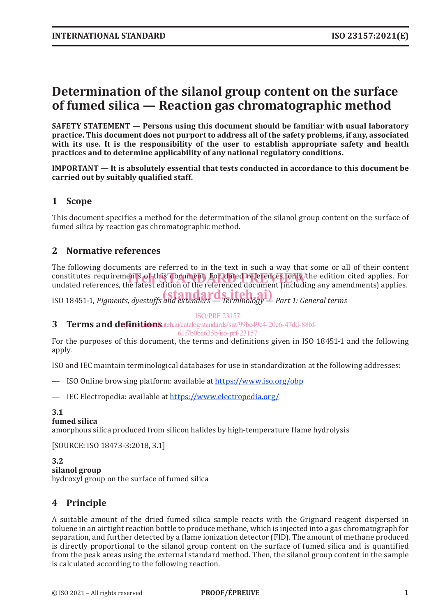## **Determination of the silanol group content on the surface of fumed silica — Reaction gas chromatographic method**

**SAFETY STATEMENT — Persons using this document should be familiar with usual laboratory practice. This document does not purport to address all of the safety problems, if any, associated with its use. It is the responsibility of the user to establish appropriate safety and health practices and to determine applicability of any national regulatory conditions.**

**IMPORTANT — It is absolutely essential that tests conducted in accordance to this document be carried out by suitably qualified staff.**

#### **1 Scope**

This document specifies a method for the determination of the silanol group content on the surface of fumed silica by reaction gas chromatographic method.

#### **2 Normative references**

The following documents are referred to in the text in such a way that some or all of their content constitutes requirements of this document. For dated references, only/the edition cited applies. For<br>undated references, the latest edition of the referenced document (including any amendments) applies. undated references, the latest edition of the referenced document (including any amendments) applies.

ISO 18451-1, *Pigments, dyestuffs and extenders — Terminology — Part 1: General terms* (standards.iteh.ai)

ISO/PRF 23157

**3** Terms and definitions.iteh.ai/catalog/standards/sist/99bc49c4-20c6-47dd-88bf-

61f7b0ba635b/iso-prf-23157

For the purposes of this document, the terms and definitions given in ISO 18451-1 and the following apply.

ISO and IEC maintain terminological databases for use in standardization at the following addresses:

- ISO Online browsing platform: available at https://www.iso.org/obp
- IEC Electropedia: available at https://www.electropedia.org/

#### **3.1**

```
fumed silica
```
amorphous silica produced from silicon halides by high-temperature flame hydrolysis

[SOURCE: ISO 18473‑3:2018, 3.1]

#### **3.2**

**silanol group**

hydroxyl group on the surface of fumed silica

#### **4 Principle**

A suitable amount of the dried fumed silica sample reacts with the Grignard reagent dispersed in toluene in an airtight reaction bottle to produce methane, which is injected into a gas chromatograph for separation, and further detected by a flame ionization detector (FID). The amount of methane produced is directly proportional to the silanol group content on the surface of fumed silica and is quantified from the peak areas using the external standard method. Then, the silanol group content in the sample is calculated according to the following reaction.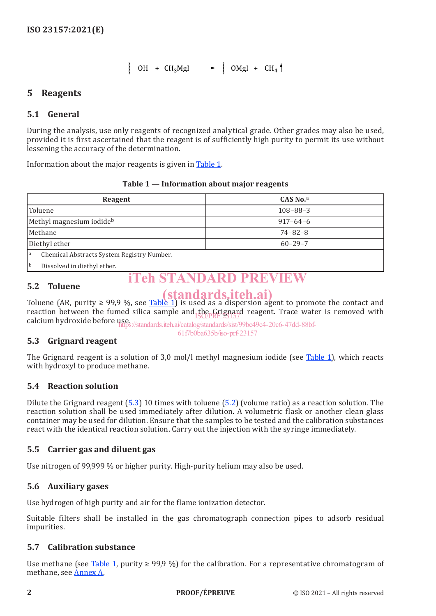#### **5 Reagents**

#### **5.1 General**

During the analysis, use only reagents of recognized analytical grade. Other grades may also be used, provided it is first ascertained that the reagent is of sufficiently high purity to permit its use without lessening the accuracy of the determination.

Information about the major reagents is given in Table 1.

| Reagent                                         | $CAS$ No. <sup>a</sup> |  |  |
|-------------------------------------------------|------------------------|--|--|
| Toluene                                         | $108 - 88 - 3$         |  |  |
| Methyl magnesium iodideb                        | $917 - 64 - 6$         |  |  |
| Methane                                         | $74 - 82 - 8$          |  |  |
| Diethyl ether                                   | $60 - 29 - 7$          |  |  |
| a<br>Chemical Abstracts System Registry Number. |                        |  |  |

#### **Table 1 — Information about major reagents**

Dissolved in diethyl ether.

## iTeh STANDARD PREVIEW

#### **5.2 Toluene**

Toluene (AR, purity  $\geq$  99,9 %, see Table 1) is used as a dispersion agent to promote the contact and reaction between the fumed silica sample and the Grignard reagent. Trace water is removed with calcium hydroxide before use. (standards.iteh.ai) ISO/PRF 23157

https://standards.iteh.ai/catalog/standards/sist/99bc49c4-20c6-47dd-88bf-61f7b0ba635b/iso-prf-23157

#### **5.3 Grignard reagent**

The Grignard reagent is a solution of 3,0 mol/l methyl magnesium iodide (see Table 1), which reacts with hydroxyl to produce methane.

#### **5.4 Reaction solution**

Dilute the Grignard reagent (5.3) 10 times with toluene (5.2) (volume ratio) as a reaction solution. The reaction solution shall be used immediately after dilution. A volumetric flask or another clean glass container may be used for dilution. Ensure that the samples to be tested and the calibration substances react with the identical reaction solution. Carry out the injection with the syringe immediately.

#### **5.5 Carrier gas and diluent gas**

Use nitrogen of 99,999 % or higher purity. High-purity helium may also be used.

#### **5.6 Auxiliary gases**

Use hydrogen of high purity and air for the flame ionization detector.

Suitable filters shall be installed in the gas chromatograph connection pipes to adsorb residual impurities.

#### **5.7 Calibration substance**

Use methane (see Table 1, purity  $\geq$  99,9 %) for the calibration. For a representative chromatogram of methane, see Annex A.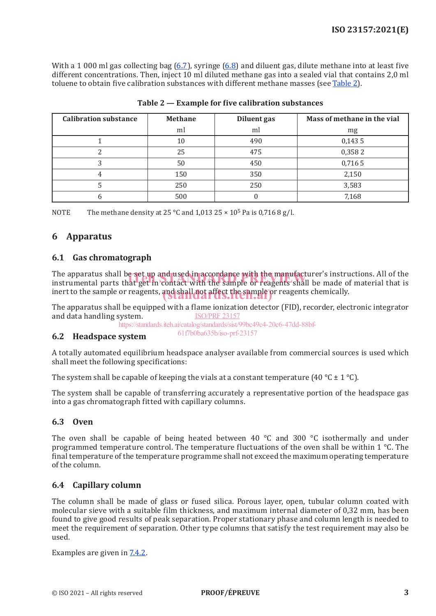With a 1 000 ml gas collecting bag (6.7), syringe (6.8) and diluent gas, dilute methane into at least five different concentrations. Then, inject 10 ml diluted methane gas into a sealed vial that contains 2,0 ml toluene to obtain five calibration substances with different methane masses (see Table 2).

| <b>Calibration substance</b> | <b>Methane</b> | Diluent gas | Mass of methane in the vial |
|------------------------------|----------------|-------------|-----------------------------|
|                              | ml             | ml          | mg                          |
|                              | 10             | 490         | 0,1435                      |
|                              | 25             | 475         | 0,3582                      |
|                              | 50             | 450         | 0,716 5                     |
|                              | 150            | 350         | 2,150                       |
|                              | 250            | 250         | 3,583                       |
|                              | 500            |             | 7,168                       |

NOTE The methane density at 25 °C and 1,013 25  $\times$  10<sup>5</sup> Pa is 0,716 8 g/l.

#### **6 Apparatus**

#### **6.1 Gas chromatograph**

The apparatus shall be set up and used in accordance with the manufacturer's instructions. All of the The apparatus shall be set up and used in accordance with the manufacturer's instructions. All of the<br>instrumental parts that get in contact with the sample or reagents shall be made of material that is inert to the sample or reagents, and shall not affect the sample or reagents chemically.

The apparatus shall be equipped with a flame ionization detector (FID), recorder, electronic integrator and data handling system. ISO/PRF 23157

https://standards.iteh.ai/catalog/standards/sist/99bc49c4-20c6-47dd-88bf-61f7b0ba635b/iso-prf-23157

#### **6.2 Headspace system**

A totally automated equilibrium headspace analyser available from commercial sources is used which shall meet the following specifications:

The system shall be capable of keeping the vials at a constant temperature (40 °C  $\pm$  1 °C).

The system shall be capable of transferring accurately a representative portion of the headspace gas into a gas chromatograph fitted with capillary columns.

#### **6.3 Oven**

The oven shall be capable of being heated between 40 °C and 300 °C isothermally and under programmed temperature control. The temperature fluctuations of the oven shall be within 1 °C. The final temperature of the temperature programme shall not exceed the maximum operating temperature of the column.

#### **6.4 Capillary column**

The column shall be made of glass or fused silica. Porous layer, open, tubular column coated with molecular sieve with a suitable film thickness, and maximum internal diameter of 0,32 mm, has been found to give good results of peak separation. Proper stationary phase and column length is needed to meet the requirement of separation. Other type columns that satisfy the test requirement may also be used.

Examples are given in 7.4.2.